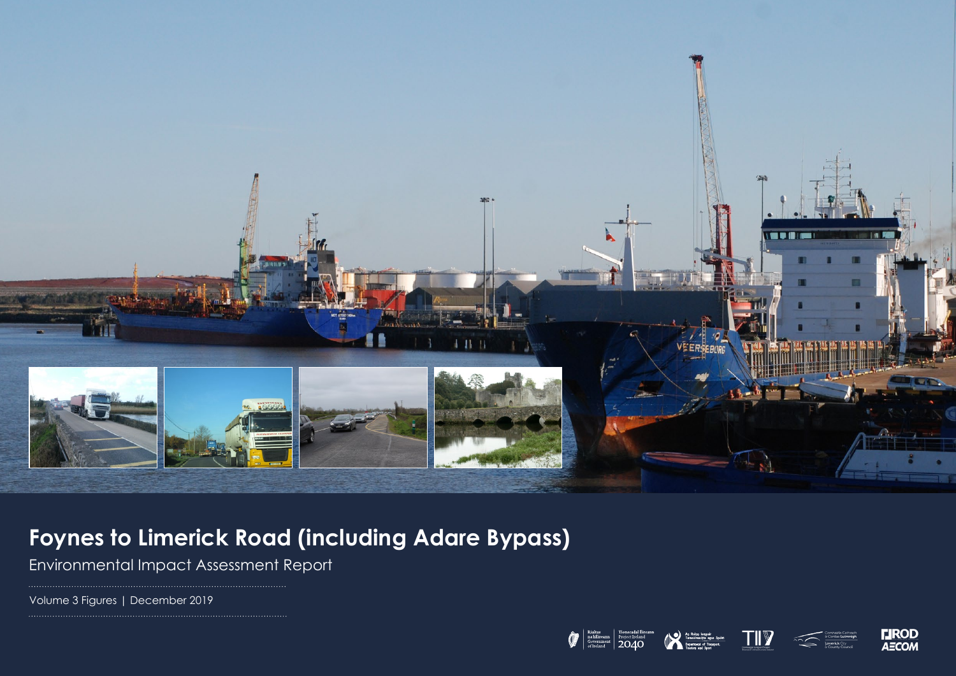

## **Foynes to Limerick Road (including Adare Bypass)**

Environmental Impact Assessment Report

Volume 3 Figures | December 2019









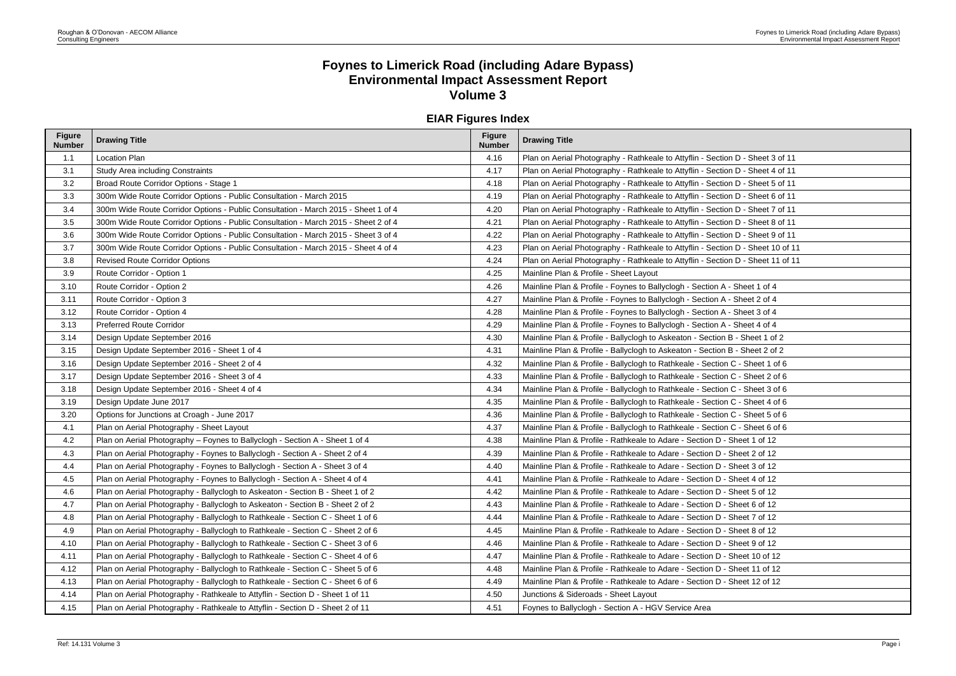## **Foynes to Limerick Road (including Adare Bypass) Environmental Impact Assessment Report Volume 3**

## **EIAR Figures Index**

| <b>Figure</b><br><b>Number</b> | <b>Drawing Title</b>                                                               | <b>Figure</b><br><b>Number</b> | <b>Drawing Title</b>                                                            |
|--------------------------------|------------------------------------------------------------------------------------|--------------------------------|---------------------------------------------------------------------------------|
| 1.1                            | Location Plan                                                                      | 4.16                           | Plan on Aerial Photography - Rathkeale to Attyflin - Section D - Sheet 3 of 11  |
| 3.1                            | <b>Study Area including Constraints</b>                                            | 4.17                           | Plan on Aerial Photography - Rathkeale to Attyflin - Section D - Sheet 4 of 11  |
| 3.2                            | Broad Route Corridor Options - Stage 1                                             | 4.18                           | Plan on Aerial Photography - Rathkeale to Attyflin - Section D - Sheet 5 of 11  |
| 3.3                            | 300m Wide Route Corridor Options - Public Consultation - March 2015                | 4.19                           | Plan on Aerial Photography - Rathkeale to Attyflin - Section D - Sheet 6 of 11  |
| 3.4                            | 300m Wide Route Corridor Options - Public Consultation - March 2015 - Sheet 1 of 4 | 4.20                           | Plan on Aerial Photography - Rathkeale to Attyflin - Section D - Sheet 7 of 11  |
| 3.5                            | 300m Wide Route Corridor Options - Public Consultation - March 2015 - Sheet 2 of 4 | 4.21                           | Plan on Aerial Photography - Rathkeale to Attyflin - Section D - Sheet 8 of 11  |
| 3.6                            | 300m Wide Route Corridor Options - Public Consultation - March 2015 - Sheet 3 of 4 | 4.22                           | Plan on Aerial Photography - Rathkeale to Attyflin - Section D - Sheet 9 of 11  |
| 3.7                            | 300m Wide Route Corridor Options - Public Consultation - March 2015 - Sheet 4 of 4 | 4.23                           | Plan on Aerial Photography - Rathkeale to Attyflin - Section D - Sheet 10 of 11 |
| 3.8                            | <b>Revised Route Corridor Options</b>                                              | 4.24                           | Plan on Aerial Photography - Rathkeale to Attyflin - Section D - Sheet 11 of 11 |
| 3.9                            | Route Corridor - Option 1                                                          | 4.25                           | Mainline Plan & Profile - Sheet Layout                                          |
| 3.10                           | Route Corridor - Option 2                                                          | 4.26                           | Mainline Plan & Profile - Foynes to Ballyclogh - Section A - Sheet 1 of 4       |
| 3.11                           | Route Corridor - Option 3                                                          | 4.27                           | Mainline Plan & Profile - Foynes to Ballyclogh - Section A - Sheet 2 of 4       |
| 3.12                           | Route Corridor - Option 4                                                          | 4.28                           | Mainline Plan & Profile - Foynes to Ballyclogh - Section A - Sheet 3 of 4       |
| 3.13                           | <b>Preferred Route Corridor</b>                                                    | 4.29                           | Mainline Plan & Profile - Foynes to Ballyclogh - Section A - Sheet 4 of 4       |
| 3.14                           | Design Update September 2016                                                       | 4.30                           | Mainline Plan & Profile - Ballyclogh to Askeaton - Section B - Sheet 1 of 2     |
| 3.15                           | Design Update September 2016 - Sheet 1 of 4                                        | 4.31                           | Mainline Plan & Profile - Ballyclogh to Askeaton - Section B - Sheet 2 of 2     |
| 3.16                           | Design Update September 2016 - Sheet 2 of 4                                        | 4.32                           | Mainline Plan & Profile - Ballyclogh to Rathkeale - Section C - Sheet 1 of 6    |
| 3.17                           | Design Update September 2016 - Sheet 3 of 4                                        | 4.33                           | Mainline Plan & Profile - Ballyclogh to Rathkeale - Section C - Sheet 2 of 6    |
| 3.18                           | Design Update September 2016 - Sheet 4 of 4                                        | 4.34                           | Mainline Plan & Profile - Ballyclogh to Rathkeale - Section C - Sheet 3 of 6    |
| 3.19                           | Design Update June 2017                                                            | 4.35                           | Mainline Plan & Profile - Ballyclogh to Rathkeale - Section C - Sheet 4 of 6    |
| 3.20                           | Options for Junctions at Croagh - June 2017                                        | 4.36                           | Mainline Plan & Profile - Ballyclogh to Rathkeale - Section C - Sheet 5 of 6    |
| 4.1                            | Plan on Aerial Photography - Sheet Layout                                          | 4.37                           | Mainline Plan & Profile - Ballyclogh to Rathkeale - Section C - Sheet 6 of 6    |
| 4.2                            | Plan on Aerial Photography - Foynes to Ballyclogh - Section A - Sheet 1 of 4       | 4.38                           | Mainline Plan & Profile - Rathkeale to Adare - Section D - Sheet 1 of 12        |
| 4.3                            | Plan on Aerial Photography - Foynes to Ballyclogh - Section A - Sheet 2 of 4       | 4.39                           | Mainline Plan & Profile - Rathkeale to Adare - Section D - Sheet 2 of 12        |
| 4.4                            | Plan on Aerial Photography - Foynes to Ballyclogh - Section A - Sheet 3 of 4       | 4.40                           | Mainline Plan & Profile - Rathkeale to Adare - Section D - Sheet 3 of 12        |
| 4.5                            | Plan on Aerial Photography - Foynes to Ballyclogh - Section A - Sheet 4 of 4       | 4.41                           | Mainline Plan & Profile - Rathkeale to Adare - Section D - Sheet 4 of 12        |
| 4.6                            | Plan on Aerial Photography - Ballyclogh to Askeaton - Section B - Sheet 1 of 2     | 4.42                           | Mainline Plan & Profile - Rathkeale to Adare - Section D - Sheet 5 of 12        |
| 4.7                            | Plan on Aerial Photography - Ballyclogh to Askeaton - Section B - Sheet 2 of 2     | 4.43                           | Mainline Plan & Profile - Rathkeale to Adare - Section D - Sheet 6 of 12        |
| 4.8                            | Plan on Aerial Photography - Ballyclogh to Rathkeale - Section C - Sheet 1 of 6    | 4.44                           | Mainline Plan & Profile - Rathkeale to Adare - Section D - Sheet 7 of 12        |
| 4.9                            | Plan on Aerial Photography - Ballyclogh to Rathkeale - Section C - Sheet 2 of 6    | 4.45                           | Mainline Plan & Profile - Rathkeale to Adare - Section D - Sheet 8 of 12        |
| 4.10                           | Plan on Aerial Photography - Ballyclogh to Rathkeale - Section C - Sheet 3 of 6    | 4.46                           | Mainline Plan & Profile - Rathkeale to Adare - Section D - Sheet 9 of 12        |
| 4.11                           | Plan on Aerial Photography - Ballyclogh to Rathkeale - Section C - Sheet 4 of 6    | 4.47                           | Mainline Plan & Profile - Rathkeale to Adare - Section D - Sheet 10 of 12       |
| 4.12                           | Plan on Aerial Photography - Ballyclogh to Rathkeale - Section C - Sheet 5 of 6    | 4.48                           | Mainline Plan & Profile - Rathkeale to Adare - Section D - Sheet 11 of 12       |
| 4.13                           | Plan on Aerial Photography - Ballyclogh to Rathkeale - Section C - Sheet 6 of 6    | 4.49                           | Mainline Plan & Profile - Rathkeale to Adare - Section D - Sheet 12 of 12       |
| 4.14                           | Plan on Aerial Photography - Rathkeale to Attyflin - Section D - Sheet 1 of 11     | 4.50                           | Junctions & Sideroads - Sheet Layout                                            |
| 4.15                           | Plan on Aerial Photography - Rathkeale to Attyflin - Section D - Sheet 2 of 11     | 4.51                           | Foynes to Ballyclogh - Section A - HGV Service Area                             |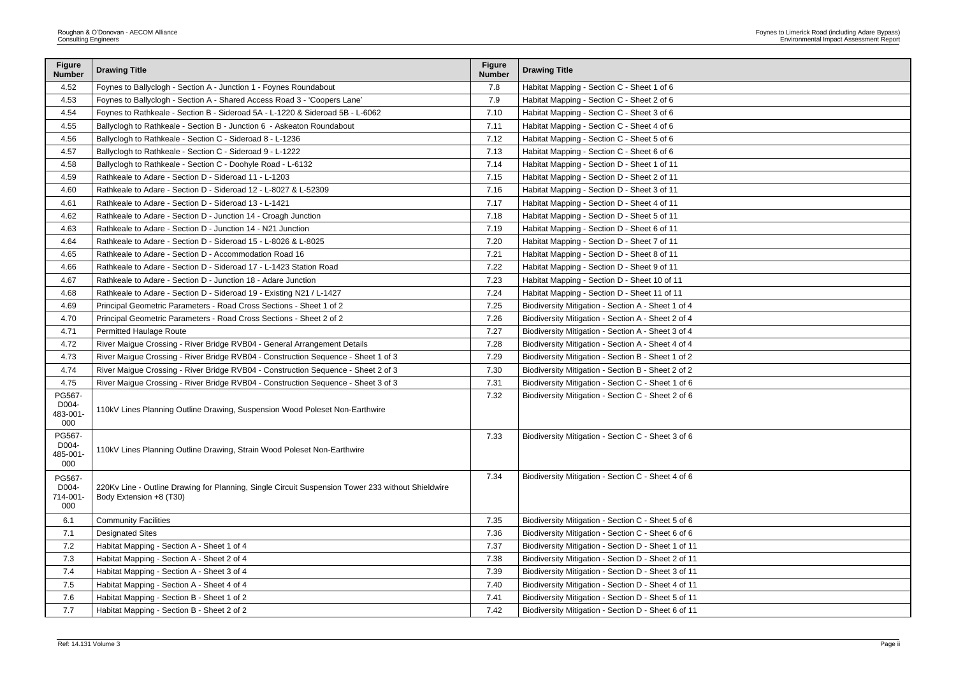| <b>Figure</b><br><b>Number</b>     | <b>Drawing Title</b>                                                                                                         | <b>Figure</b><br><b>Number</b> | <b>Drawing Title</b>                                |
|------------------------------------|------------------------------------------------------------------------------------------------------------------------------|--------------------------------|-----------------------------------------------------|
| 4.52                               | Foynes to Ballyclogh - Section A - Junction 1 - Foynes Roundabout                                                            | 7.8                            | Habitat Mapping - Section C - Sheet 1 of 6          |
| 4.53                               | Foynes to Ballyclogh - Section A - Shared Access Road 3 - 'Coopers Lane'                                                     | 7.9                            | Habitat Mapping - Section C - Sheet 2 of 6          |
| 4.54                               | Foynes to Rathkeale - Section B - Sideroad 5A - L-1220 & Sideroad 5B - L-6062                                                | 7.10                           | Habitat Mapping - Section C - Sheet 3 of 6          |
| 4.55                               | Ballyclogh to Rathkeale - Section B - Junction 6 - Askeaton Roundabout                                                       | 7.11                           | Habitat Mapping - Section C - Sheet 4 of 6          |
| 4.56                               | Ballyclogh to Rathkeale - Section C - Sideroad 8 - L-1236                                                                    | 7.12                           | Habitat Mapping - Section C - Sheet 5 of 6          |
| 4.57                               | Ballyclogh to Rathkeale - Section C - Sideroad 9 - L-1222                                                                    | 7.13                           | Habitat Mapping - Section C - Sheet 6 of 6          |
| 4.58                               | Ballyclogh to Rathkeale - Section C - Doohyle Road - L-6132                                                                  | 7.14                           | Habitat Mapping - Section D - Sheet 1 of 11         |
| 4.59                               | Rathkeale to Adare - Section D - Sideroad 11 - L-1203                                                                        | 7.15                           | Habitat Mapping - Section D - Sheet 2 of 11         |
| 4.60                               | Rathkeale to Adare - Section D - Sideroad 12 - L-8027 & L-52309                                                              | 7.16                           | Habitat Mapping - Section D - Sheet 3 of 11         |
| 4.61                               | Rathkeale to Adare - Section D - Sideroad 13 - L-1421                                                                        | 7.17                           | Habitat Mapping - Section D - Sheet 4 of 11         |
| 4.62                               | Rathkeale to Adare - Section D - Junction 14 - Croagh Junction                                                               | 7.18                           | Habitat Mapping - Section D - Sheet 5 of 11         |
| 4.63                               | Rathkeale to Adare - Section D - Junction 14 - N21 Junction                                                                  | 7.19                           | Habitat Mapping - Section D - Sheet 6 of 11         |
| 4.64                               | Rathkeale to Adare - Section D - Sideroad 15 - L-8026 & L-8025                                                               | 7.20                           | Habitat Mapping - Section D - Sheet 7 of 11         |
| 4.65                               | Rathkeale to Adare - Section D - Accommodation Road 16                                                                       | 7.21                           | Habitat Mapping - Section D - Sheet 8 of 11         |
| 4.66                               | Rathkeale to Adare - Section D - Sideroad 17 - L-1423 Station Road                                                           | 7.22                           | Habitat Mapping - Section D - Sheet 9 of 11         |
| 4.67                               | Rathkeale to Adare - Section D - Junction 18 - Adare Junction                                                                | 7.23                           | Habitat Mapping - Section D - Sheet 10 of 11        |
| 4.68                               | Rathkeale to Adare - Section D - Sideroad 19 - Existing N21 / L-1427                                                         | 7.24                           | Habitat Mapping - Section D - Sheet 11 of 11        |
| 4.69                               | Principal Geometric Parameters - Road Cross Sections - Sheet 1 of 2                                                          | 7.25                           | Biodiversity Mitigation - Section A - Sheet 1 of 4  |
| 4.70                               | Principal Geometric Parameters - Road Cross Sections - Sheet 2 of 2                                                          | 7.26                           | Biodiversity Mitigation - Section A - Sheet 2 of 4  |
| 4.71                               | <b>Permitted Haulage Route</b>                                                                                               | 7.27                           | Biodiversity Mitigation - Section A - Sheet 3 of 4  |
| 4.72                               | River Maigue Crossing - River Bridge RVB04 - General Arrangement Details                                                     | 7.28                           | Biodiversity Mitigation - Section A - Sheet 4 of 4  |
| 4.73                               | River Maigue Crossing - River Bridge RVB04 - Construction Sequence - Sheet 1 of 3                                            | 7.29                           | Biodiversity Mitigation - Section B - Sheet 1 of 2  |
| 4.74                               | River Maigue Crossing - River Bridge RVB04 - Construction Sequence - Sheet 2 of 3                                            | 7.30                           | Biodiversity Mitigation - Section B - Sheet 2 of 2  |
| 4.75                               | River Maigue Crossing - River Bridge RVB04 - Construction Sequence - Sheet 3 of 3                                            | 7.31                           | Biodiversity Mitigation - Section C - Sheet 1 of 6  |
| PG567-<br>D004-<br>483-001-<br>000 | 110kV Lines Planning Outline Drawing, Suspension Wood Poleset Non-Earthwire                                                  | 7.32                           | Biodiversity Mitigation - Section C - Sheet 2 of 6  |
| PG567-<br>D004-<br>485-001-<br>000 | 110kV Lines Planning Outline Drawing, Strain Wood Poleset Non-Earthwire                                                      | 7.33                           | Biodiversity Mitigation - Section C - Sheet 3 of 6  |
| PG567-<br>D004-<br>714-001-<br>000 | 220Kv Line - Outline Drawing for Planning, Single Circuit Suspension Tower 233 without Shieldwire<br>Body Extension +8 (T30) | 7.34                           | Biodiversity Mitigation - Section C - Sheet 4 of 6  |
| 6.1                                | <b>Community Facilities</b>                                                                                                  | 7.35                           | Biodiversity Mitigation - Section C - Sheet 5 of 6  |
| 7.1                                | <b>Designated Sites</b>                                                                                                      | 7.36                           | Biodiversity Mitigation - Section C - Sheet 6 of 6  |
| 7.2                                | Habitat Mapping - Section A - Sheet 1 of 4                                                                                   | 7.37                           | Biodiversity Mitigation - Section D - Sheet 1 of 11 |
| 7.3                                | Habitat Mapping - Section A - Sheet 2 of 4                                                                                   | 7.38                           | Biodiversity Mitigation - Section D - Sheet 2 of 11 |
| 7.4                                | Habitat Mapping - Section A - Sheet 3 of 4                                                                                   | 7.39                           | Biodiversity Mitigation - Section D - Sheet 3 of 11 |
| 7.5                                | Habitat Mapping - Section A - Sheet 4 of 4                                                                                   | 7.40                           | Biodiversity Mitigation - Section D - Sheet 4 of 11 |
| 7.6                                | Habitat Mapping - Section B - Sheet 1 of 2                                                                                   | 7.41                           | Biodiversity Mitigation - Section D - Sheet 5 of 11 |
| 7.7                                | Habitat Mapping - Section B - Sheet 2 of 2                                                                                   | 7.42                           | Biodiversity Mitigation - Section D - Sheet 6 of 11 |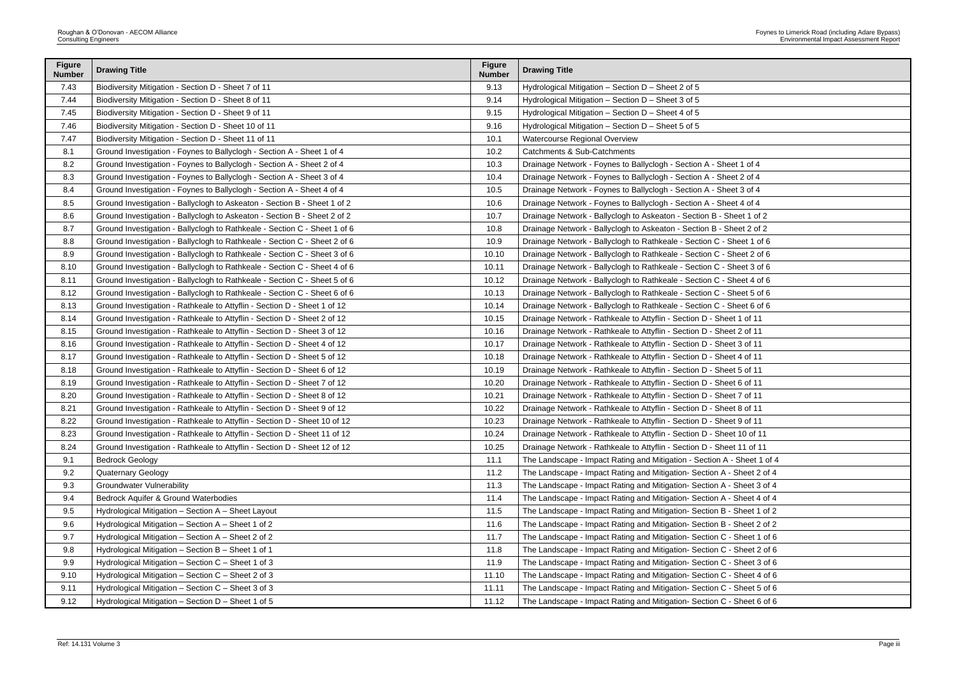| <b>Figure</b><br><b>Number</b> | <b>Drawing Title</b>                                                      | <b>Figure</b><br><b>Number</b> | <b>Drawing Title</b>                                                    |
|--------------------------------|---------------------------------------------------------------------------|--------------------------------|-------------------------------------------------------------------------|
| 7.43                           | Biodiversity Mitigation - Section D - Sheet 7 of 11                       | 9.13                           | Hydrological Mitigation - Section D - Sheet 2 of 5                      |
| 7.44                           | Biodiversity Mitigation - Section D - Sheet 8 of 11                       | 9.14                           | Hydrological Mitigation - Section D - Sheet 3 of 5                      |
| 7.45                           | Biodiversity Mitigation - Section D - Sheet 9 of 11                       | 9.15                           | Hydrological Mitigation - Section D - Sheet 4 of 5                      |
| 7.46                           | Biodiversity Mitigation - Section D - Sheet 10 of 11                      | 9.16                           | Hydrological Mitigation - Section D - Sheet 5 of 5                      |
| 7.47                           | Biodiversity Mitigation - Section D - Sheet 11 of 11                      | 10.1                           | Watercourse Regional Overview                                           |
| 8.1                            | Ground Investigation - Foynes to Ballyclogh - Section A - Sheet 1 of 4    | 10.2                           | Catchments & Sub-Catchments                                             |
| 8.2                            | Ground Investigation - Foynes to Ballyclogh - Section A - Sheet 2 of 4    | 10.3                           | Drainage Network - Foynes to Ballyclogh - Section A - Sheet 1 of 4      |
| 8.3                            | Ground Investigation - Foynes to Ballyclogh - Section A - Sheet 3 of 4    | 10.4                           | Drainage Network - Foynes to Ballyclogh - Section A - Sheet 2 of 4      |
| 8.4                            | Ground Investigation - Foynes to Ballyclogh - Section A - Sheet 4 of 4    | 10.5                           | Drainage Network - Foynes to Ballyclogh - Section A - Sheet 3 of 4      |
| 8.5                            | Ground Investigation - Ballyclogh to Askeaton - Section B - Sheet 1 of 2  | 10.6                           | Drainage Network - Foynes to Ballyclogh - Section A - Sheet 4 of 4      |
| 8.6                            | Ground Investigation - Ballyclogh to Askeaton - Section B - Sheet 2 of 2  | 10.7                           | Drainage Network - Ballyclogh to Askeaton - Section B - Sheet 1 of 2    |
| 8.7                            | Ground Investigation - Ballyclogh to Rathkeale - Section C - Sheet 1 of 6 | 10.8                           | Drainage Network - Ballyclogh to Askeaton - Section B - Sheet 2 of 2    |
| 8.8                            | Ground Investigation - Ballyclogh to Rathkeale - Section C - Sheet 2 of 6 | 10.9                           | Drainage Network - Ballyclogh to Rathkeale - Section C - Sheet 1 of 6   |
| 8.9                            | Ground Investigation - Ballyclogh to Rathkeale - Section C - Sheet 3 of 6 | 10.10                          | Drainage Network - Ballyclogh to Rathkeale - Section C - Sheet 2 of 6   |
| 8.10                           | Ground Investigation - Ballyclogh to Rathkeale - Section C - Sheet 4 of 6 | 10.11                          | Drainage Network - Ballyclogh to Rathkeale - Section C - Sheet 3 of 6   |
| 8.11                           | Ground Investigation - Ballyclogh to Rathkeale - Section C - Sheet 5 of 6 | 10.12                          | Drainage Network - Ballyclogh to Rathkeale - Section C - Sheet 4 of 6   |
| 8.12                           | Ground Investigation - Ballyclogh to Rathkeale - Section C - Sheet 6 of 6 | 10.13                          | Drainage Network - Ballyclogh to Rathkeale - Section C - Sheet 5 of 6   |
| 8.13                           | Ground Investigation - Rathkeale to Attyflin - Section D - Sheet 1 of 12  | 10.14                          | Drainage Network - Ballyclogh to Rathkeale - Section C - Sheet 6 of 6   |
| 8.14                           | Ground Investigation - Rathkeale to Attyflin - Section D - Sheet 2 of 12  | 10.15                          | Drainage Network - Rathkeale to Attyflin - Section D - Sheet 1 of 11    |
| 8.15                           | Ground Investigation - Rathkeale to Attyflin - Section D - Sheet 3 of 12  | 10.16                          | Drainage Network - Rathkeale to Attyflin - Section D - Sheet 2 of 11    |
| 8.16                           | Ground Investigation - Rathkeale to Attyflin - Section D - Sheet 4 of 12  | 10.17                          | Drainage Network - Rathkeale to Attyflin - Section D - Sheet 3 of 11    |
| 8.17                           | Ground Investigation - Rathkeale to Attyflin - Section D - Sheet 5 of 12  | 10.18                          | Drainage Network - Rathkeale to Attyflin - Section D - Sheet 4 of 11    |
| 8.18                           | Ground Investigation - Rathkeale to Attyflin - Section D - Sheet 6 of 12  | 10.19                          | Drainage Network - Rathkeale to Attyflin - Section D - Sheet 5 of 11    |
| 8.19                           | Ground Investigation - Rathkeale to Attyflin - Section D - Sheet 7 of 12  | 10.20                          | Drainage Network - Rathkeale to Attyflin - Section D - Sheet 6 of 11    |
| 8.20                           | Ground Investigation - Rathkeale to Attyflin - Section D - Sheet 8 of 12  | 10.21                          | Drainage Network - Rathkeale to Attyflin - Section D - Sheet 7 of 11    |
| 8.21                           | Ground Investigation - Rathkeale to Attyflin - Section D - Sheet 9 of 12  | 10.22                          | Drainage Network - Rathkeale to Attyflin - Section D - Sheet 8 of 11    |
| 8.22                           | Ground Investigation - Rathkeale to Attyflin - Section D - Sheet 10 of 12 | 10.23                          | Drainage Network - Rathkeale to Attyflin - Section D - Sheet 9 of 11    |
| 8.23                           | Ground Investigation - Rathkeale to Attyflin - Section D - Sheet 11 of 12 | 10.24                          | Drainage Network - Rathkeale to Attyflin - Section D - Sheet 10 of 11   |
| 8.24                           | Ground Investigation - Rathkeale to Attyflin - Section D - Sheet 12 of 12 | 10.25                          | Drainage Network - Rathkeale to Attyflin - Section D - Sheet 11 of 11   |
| 9.1                            | <b>Bedrock Geology</b>                                                    | 11.1                           | The Landscape - Impact Rating and Mitigation - Section A - Sheet 1 of 4 |
| 9.2                            | <b>Quaternary Geology</b>                                                 | 11.2                           | The Landscape - Impact Rating and Mitigation- Section A - Sheet 2 of 4  |
| 9.3                            | <b>Groundwater Vulnerability</b>                                          | 11.3                           | The Landscape - Impact Rating and Mitigation- Section A - Sheet 3 of 4  |
| 9.4                            | Bedrock Aquifer & Ground Waterbodies                                      | 11.4                           | The Landscape - Impact Rating and Mitigation- Section A - Sheet 4 of 4  |
| 9.5                            | Hydrological Mitigation - Section A - Sheet Layout                        | 11.5                           | The Landscape - Impact Rating and Mitigation- Section B - Sheet 1 of 2  |
| 9.6                            | Hydrological Mitigation - Section A - Sheet 1 of 2                        | 11.6                           | The Landscape - Impact Rating and Mitigation- Section B - Sheet 2 of 2  |
| 9.7                            | Hydrological Mitigation - Section A - Sheet 2 of 2                        | 11.7                           | The Landscape - Impact Rating and Mitigation- Section C - Sheet 1 of 6  |
| 9.8                            | Hydrological Mitigation - Section B - Sheet 1 of 1                        | 11.8                           | The Landscape - Impact Rating and Mitigation- Section C - Sheet 2 of 6  |
| 9.9                            | Hydrological Mitigation - Section C - Sheet 1 of 3                        | 11.9                           | The Landscape - Impact Rating and Mitigation- Section C - Sheet 3 of 6  |
| 9.10                           | Hydrological Mitigation - Section C - Sheet 2 of 3                        | 11.10                          | The Landscape - Impact Rating and Mitigation- Section C - Sheet 4 of 6  |
| 9.11                           | Hydrological Mitigation - Section C - Sheet 3 of 3                        | 11.11                          | The Landscape - Impact Rating and Mitigation- Section C - Sheet 5 of 6  |
| 9.12                           | Hydrological Mitigation - Section D - Sheet 1 of 5                        | 11.12                          | The Landscape - Impact Rating and Mitigation- Section C - Sheet 6 of 6  |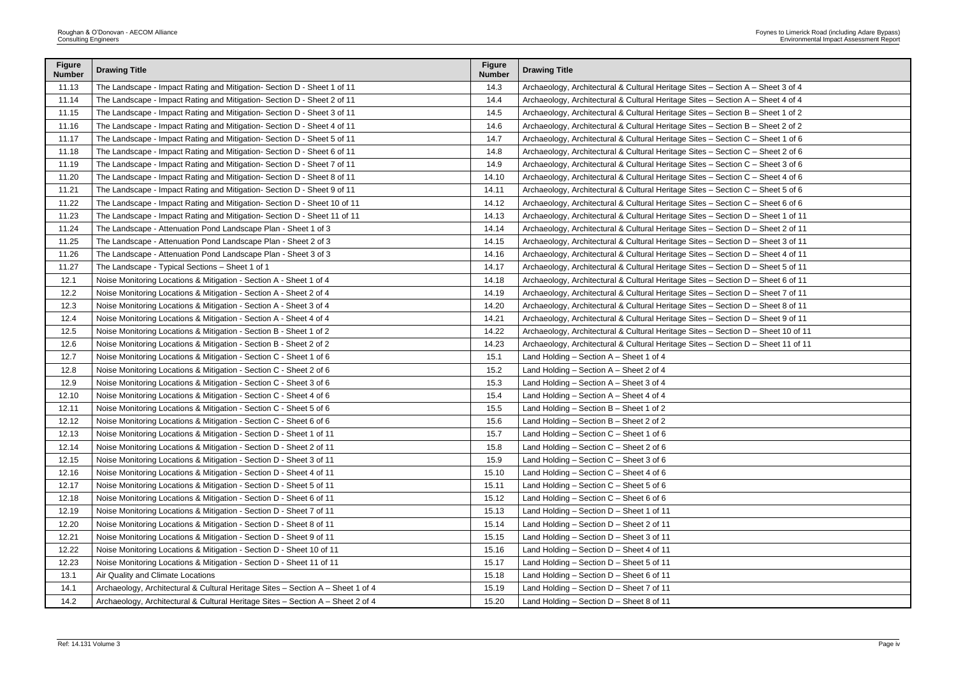| ection A – Sheet 3 of 4   |
|---------------------------|
| ection A - Sheet 4 of 4   |
| ection B – Sheet 1 of 2   |
| ection B - Sheet 2 of 2   |
| ection C – Sheet 1 of 6   |
| ection C – Sheet 2 of 6   |
| ection C – Sheet 3 of 6   |
| ection C – Sheet 4 of 6   |
| ection C – Sheet 5 of 6   |
| ection C – Sheet 6 of 6   |
| ection D - Sheet 1 of 11  |
| ection D – Sheet 2 of 11  |
| ection D – Sheet 3 of 11  |
| ection D - Sheet 4 of 11  |
| ection D – Sheet 5 of 11  |
| ection D – Sheet 6 of 11  |
| ection D - Sheet 7 of 11  |
| ection D – Sheet 8 of 11  |
| ection D - Sheet 9 of 11  |
| ection D - Sheet 10 of 11 |
| ection D - Sheet 11 of 11 |
|                           |
|                           |
|                           |
|                           |
|                           |
|                           |
|                           |
|                           |
|                           |
|                           |
|                           |
|                           |
|                           |
|                           |
|                           |
|                           |
|                           |
|                           |
|                           |
|                           |

| <b>Figure</b><br><b>Number</b> | <b>Drawing Title</b>                                                            | <b>Figure</b><br><b>Number</b> | <b>Drawing Title</b>                                                              |
|--------------------------------|---------------------------------------------------------------------------------|--------------------------------|-----------------------------------------------------------------------------------|
| 11.13                          | The Landscape - Impact Rating and Mitigation- Section D - Sheet 1 of 11         | 14.3                           | Archaeology, Architectural & Cultural Heritage Sites - Section A - Sheet 3 of 4   |
| 11.14                          | The Landscape - Impact Rating and Mitigation- Section D - Sheet 2 of 11         | 14.4                           | Archaeology, Architectural & Cultural Heritage Sites - Section A - Sheet 4 of 4   |
| 11.15                          | The Landscape - Impact Rating and Mitigation- Section D - Sheet 3 of 11         | 14.5                           | Archaeology, Architectural & Cultural Heritage Sites - Section B - Sheet 1 of 2   |
| 11.16                          | The Landscape - Impact Rating and Mitigation- Section D - Sheet 4 of 11         | 14.6                           | Archaeology, Architectural & Cultural Heritage Sites - Section B - Sheet 2 of 2   |
| 11.17                          | The Landscape - Impact Rating and Mitigation- Section D - Sheet 5 of 11         | 14.7                           | Archaeology, Architectural & Cultural Heritage Sites - Section C - Sheet 1 of 6   |
| 11.18                          | The Landscape - Impact Rating and Mitigation- Section D - Sheet 6 of 11         | 14.8                           | Archaeology, Architectural & Cultural Heritage Sites - Section C - Sheet 2 of 6   |
| 11.19                          | The Landscape - Impact Rating and Mitigation- Section D - Sheet 7 of 11         | 14.9                           | Archaeology, Architectural & Cultural Heritage Sites - Section C - Sheet 3 of 6   |
| 11.20                          | The Landscape - Impact Rating and Mitigation- Section D - Sheet 8 of 11         | 14.10                          | Archaeology, Architectural & Cultural Heritage Sites - Section C - Sheet 4 of 6   |
| 11.21                          | The Landscape - Impact Rating and Mitigation- Section D - Sheet 9 of 11         | 14.11                          | Archaeology, Architectural & Cultural Heritage Sites - Section C - Sheet 5 of 6   |
| 11.22                          | The Landscape - Impact Rating and Mitigation- Section D - Sheet 10 of 11        | 14.12                          | Archaeology, Architectural & Cultural Heritage Sites - Section C - Sheet 6 of 6   |
| 11.23                          | The Landscape - Impact Rating and Mitigation- Section D - Sheet 11 of 11        | 14.13                          | Archaeology, Architectural & Cultural Heritage Sites - Section D - Sheet 1 of 11  |
| 11.24                          | The Landscape - Attenuation Pond Landscape Plan - Sheet 1 of 3                  | 14.14                          | Archaeology, Architectural & Cultural Heritage Sites - Section D - Sheet 2 of 11  |
| 11.25                          | The Landscape - Attenuation Pond Landscape Plan - Sheet 2 of 3                  | 14.15                          | Archaeology, Architectural & Cultural Heritage Sites - Section D - Sheet 3 of 11  |
| 11.26                          | The Landscape - Attenuation Pond Landscape Plan - Sheet 3 of 3                  | 14.16                          | Archaeology, Architectural & Cultural Heritage Sites - Section D - Sheet 4 of 11  |
| 11.27                          | The Landscape - Typical Sections - Sheet 1 of 1                                 | 14.17                          | Archaeology, Architectural & Cultural Heritage Sites - Section D - Sheet 5 of 11  |
| 12.1                           | Noise Monitoring Locations & Mitigation - Section A - Sheet 1 of 4              | 14.18                          | Archaeology, Architectural & Cultural Heritage Sites - Section D - Sheet 6 of 11  |
| 12.2                           | Noise Monitoring Locations & Mitigation - Section A - Sheet 2 of 4              | 14.19                          | Archaeology, Architectural & Cultural Heritage Sites - Section D - Sheet 7 of 11  |
| 12.3                           | Noise Monitoring Locations & Mitigation - Section A - Sheet 3 of 4              | 14.20                          | Archaeology, Architectural & Cultural Heritage Sites - Section D - Sheet 8 of 11  |
| 12.4                           | Noise Monitoring Locations & Mitigation - Section A - Sheet 4 of 4              | 14.21                          | Archaeology, Architectural & Cultural Heritage Sites - Section D - Sheet 9 of 11  |
| 12.5                           | Noise Monitoring Locations & Mitigation - Section B - Sheet 1 of 2              | 14.22                          | Archaeology, Architectural & Cultural Heritage Sites - Section D - Sheet 10 of 11 |
| 12.6                           | Noise Monitoring Locations & Mitigation - Section B - Sheet 2 of 2              | 14.23                          | Archaeology, Architectural & Cultural Heritage Sites - Section D - Sheet 11 of 11 |
| 12.7                           | Noise Monitoring Locations & Mitigation - Section C - Sheet 1 of 6              | 15.1                           | Land Holding - Section A - Sheet 1 of 4                                           |
| 12.8                           | Noise Monitoring Locations & Mitigation - Section C - Sheet 2 of 6              | 15.2                           | Land Holding - Section A - Sheet 2 of 4                                           |
| 12.9                           | Noise Monitoring Locations & Mitigation - Section C - Sheet 3 of 6              | 15.3                           | Land Holding - Section A - Sheet 3 of 4                                           |
| 12.10                          | Noise Monitoring Locations & Mitigation - Section C - Sheet 4 of 6              | 15.4                           | Land Holding - Section A - Sheet 4 of 4                                           |
| 12.11                          | Noise Monitoring Locations & Mitigation - Section C - Sheet 5 of 6              | 15.5                           | Land Holding - Section B - Sheet 1 of 2                                           |
| 12.12                          | Noise Monitoring Locations & Mitigation - Section C - Sheet 6 of 6              | 15.6                           | Land Holding - Section B - Sheet 2 of 2                                           |
| 12.13                          | Noise Monitoring Locations & Mitigation - Section D - Sheet 1 of 11             | 15.7                           | Land Holding - Section C - Sheet 1 of 6                                           |
| 12.14                          | Noise Monitoring Locations & Mitigation - Section D - Sheet 2 of 11             | 15.8                           | Land Holding $-$ Section C $-$ Sheet 2 of 6                                       |
| 12.15                          | Noise Monitoring Locations & Mitigation - Section D - Sheet 3 of 11             | 15.9                           | Land Holding - Section C - Sheet 3 of 6                                           |
| 12.16                          | Noise Monitoring Locations & Mitigation - Section D - Sheet 4 of 11             | 15.10                          | Land Holding $-$ Section C $-$ Sheet 4 of 6                                       |
| 12.17                          | Noise Monitoring Locations & Mitigation - Section D - Sheet 5 of 11             | 15.11                          | Land Holding - Section C - Sheet 5 of 6                                           |
| 12.18                          | Noise Monitoring Locations & Mitigation - Section D - Sheet 6 of 11             | 15.12                          | Land Holding - Section $C$ - Sheet 6 of 6                                         |
| 12.19                          | Noise Monitoring Locations & Mitigation - Section D - Sheet 7 of 11             | 15.13                          | Land Holding - Section D - Sheet 1 of 11                                          |
| 12.20                          | Noise Monitoring Locations & Mitigation - Section D - Sheet 8 of 11             | 15.14                          | Land Holding - Section D - Sheet 2 of 11                                          |
| 12.21                          | Noise Monitoring Locations & Mitigation - Section D - Sheet 9 of 11             | 15.15                          | Land Holding - Section D - Sheet 3 of 11                                          |
| 12.22                          | Noise Monitoring Locations & Mitigation - Section D - Sheet 10 of 11            | 15.16                          | Land Holding - Section D - Sheet 4 of 11                                          |
| 12.23                          | Noise Monitoring Locations & Mitigation - Section D - Sheet 11 of 11            | 15.17                          | Land Holding - Section D - Sheet 5 of 11                                          |
| 13.1                           | Air Quality and Climate Locations                                               | 15.18                          | Land Holding - Section D - Sheet 6 of 11                                          |
| 14.1                           | Archaeology, Architectural & Cultural Heritage Sites - Section A - Sheet 1 of 4 | 15.19                          | Land Holding - Section D - Sheet 7 of 11                                          |
| 14.2                           | Archaeology, Architectural & Cultural Heritage Sites - Section A - Sheet 2 of 4 | 15.20                          | Land Holding - Section D - Sheet 8 of 11                                          |